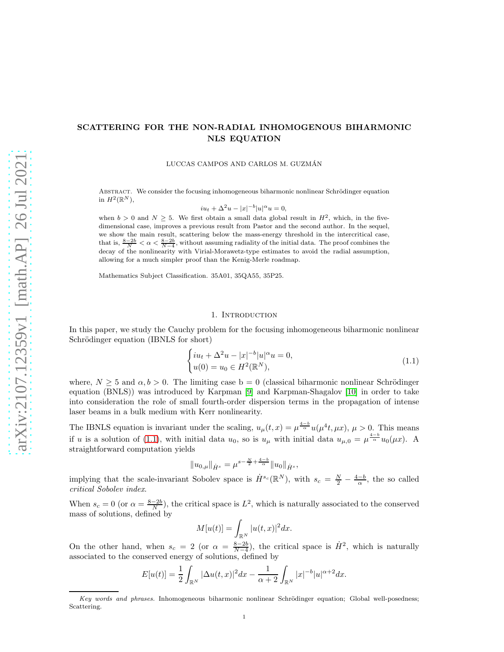# SCATTERING FOR THE NON-RADIAL INHOMOGENOUS BIHARMONIC NLS EQUATION

LUCCAS CAMPOS AND CARLOS M. GUZMAN´

ABSTRACT. We consider the focusing inhomogeneous biharmonic nonlinear Schrödinger equation in  $H^2(\mathbb{R}^N)$ ,

$$
iu_t + \Delta^2 u - |x|^{-b} |u|^\alpha u = 0,
$$

when  $b > 0$  and  $N \geq 5$ . We first obtain a small data global result in  $H^2$ , which, in the fivedimensional case, improves a previous result from Pastor and the second author. In the sequel, we show the main result, scattering below the mass-energy threshold in the intercritical case, that is,  $\frac{8-2b}{N}<\alpha<\frac{8-2b}{N-4}$ , without assuming radiality of the initial data. The proof combines the decay of the nonlinearity with Virial-Morawetz-type estimates to avoid the radial assumption, allowing for a much simpler proof than the Kenig-Merle roadmap.

Mathematics Subject Classification. 35A01, 35QA55, 35P25.

#### <span id="page-0-0"></span>1. INTRODUCTION

In this paper, we study the Cauchy problem for the focusing inhomogeneous biharmonic nonlinear Schrödinger equation (IBNLS for short)

$$
\begin{cases} iu_t + \Delta^2 u - |x|^{-b} |u|^\alpha u = 0, \\ u(0) = u_0 \in H^2(\mathbb{R}^N), \end{cases}
$$
\n(1.1)

where,  $N > 5$  and  $\alpha, b > 0$ . The limiting case  $b = 0$  (classical biharmonic nonlinear Schrödinger equation (BNLS)) was introduced by Karpman [\[9\]](#page-12-0) and Karpman-Shagalov [\[10\]](#page-12-1) in order to take into consideration the role of small fourth-order dispersion terms in the propagation of intense laser beams in a bulk medium with Kerr nonlinearity.

The IBNLS equation is invariant under the scaling,  $u_{\mu}(t,x) = \mu^{\frac{4-b}{\alpha}} u(\mu^4 t, \mu x)$ ,  $\mu > 0$ . This means if u is a solution of [\(1.1\)](#page-0-0), with initial data  $u_0$ , so is  $u_\mu$  with initial data  $u_{\mu,0} = \mu^{\frac{4-b}{\alpha}} u_0(\mu x)$ . A straightforward computation yields

$$
||u_{0,\mu}||_{\dot{H}^s} = \mu^{s-\frac{N}{2}+\frac{4-b}{\alpha}}||u_0||_{\dot{H}^s},
$$

implying that the scale-invariant Sobolev space is  $\dot{H}^{s_c}(\mathbb{R}^N)$ , with  $s_c = \frac{N}{2} - \frac{4-b}{\alpha}$ , the so called critical Sobolev index.

When  $s_c = 0$  (or  $\alpha = \frac{8-2b}{N}$ ), the critical space is  $L^2$ , which is naturally associated to the conserved mass of solutions, defined by

$$
M[u(t)] = \int_{\mathbb{R}^N} |u(t,x)|^2 dx.
$$

On the other hand, when  $s_c = 2$  (or  $\alpha = \frac{8-2b}{N-4}$ ), the critical space is  $\dot{H}^2$ , which is naturally associated to the conserved energy of solutions, defined by

$$
E[u(t)] = \frac{1}{2} \int_{\mathbb{R}^N} |\Delta u(t, x)|^2 dx - \frac{1}{\alpha + 2} \int_{\mathbb{R}^N} |x|^{-b} |u|^{\alpha + 2} dx.
$$

Key words and phrases. Inhomogeneous biharmonic nonlinear Schrödinger equation; Global well-posedness; Scattering.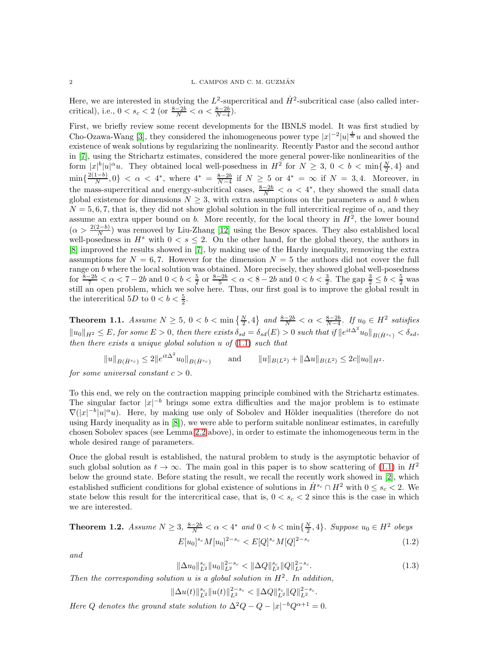Here, we are interested in studying the  $L^2$ -supercritical and  $\dot{H}^2$ -subcritical case (also called intercritical), i.e.,  $0 < s_c < 2$  (or  $\frac{8-2b}{N} < \alpha < \frac{8-2b}{N-4}$ ).

First, we briefly review some recent developments for the IBNLS model. It was first studied by Cho-Ozawa-Wang [\[3\]](#page-12-2), they considered the inhomogeneous power type  $|x|^{-2}|u| \frac{4}{N}u$  and showed the existence of weak solutions by regularizing the nonlinearity. Recently Pastor and the second author in [\[7\]](#page-12-3), using the Strichartz estimates, considered the more general power-like nonlinearities of the form  $|x|^b|u|^\alpha u$ . They obtained local well-posedness in  $H^2$  for  $N \geq 3$ ,  $0 < b < \min\{\frac{N}{2}, 4\}$  and 2  $\min\{\frac{2(1-b)}{N}$  $\frac{(1-b)}{N}, 0$  <  $\alpha$  < 4<sup>\*</sup>, where  $4^* = \frac{8-2b}{N-4}$  if  $N \ge 5$  or  $4^* = \infty$  if  $N = 3, 4$ . Moreover, in the mass-supercritical and energy-subcritical cases,  $\frac{8-2b}{N} < \alpha < 4^*$ , they showed the small data global existence for dimensions  $N \geq 3$ , with extra assumptions on the parameters  $\alpha$  and b when  $N = 5, 6, 7$ , that is, they did not show global solution in the full intercritical regime of  $\alpha$ , and they assume an extra upper bound on b. More recently, for the local theory in  $H^2$ , the lower bound  $(\alpha > \frac{2(2-b)}{N})$  was removed by Liu-Zhang [\[12\]](#page-12-4) using the Besov spaces. They also established local well-posedness in  $H^s$  with  $0 < s \leq 2$ . On the other hand, for the global theory, the authors in [\[8\]](#page-12-5) improved the results showed in [\[7\]](#page-12-3), by making use of the Hardy inequality, removing the extra assumptions for  $N = 6, 7$ . However for the dimension  $N = 5$  the authors did not cover the full range on b where the local solution was obtained. More precisely, they showed global well-posedness for  $\frac{8-2b}{7} < \alpha < 7-2b$  and  $0 < b < \frac{5}{2}$  or  $\frac{8-2b}{5} < \alpha < 8-2b$  and  $0 < b < \frac{3}{2}$ . The gap  $\frac{3}{2} \le b < \frac{5}{2}$  was still an open problem, which we solve here. Thus, our first goal is to improve the global result in the intercritical 5D to  $0 < b < \frac{5}{2}$ .

<span id="page-1-2"></span>**Theorem 1.1.** Assume  $N \ge 5$ ,  $0 < b < \min\left\{\frac{N}{2}, 4\right\}$  and  $\frac{8-2b}{N} < \alpha < \frac{8-2b}{N-4}$ . If  $u_0 \in H^2$  satisfies  $||u_0||_{H^2}\leq E$ , for some  $E>0$ , then there exists  $\delta_{sd}=\delta_{sd}(E)>0$  such that if  $||e^{it\Delta^2}u_0||_{B(\dot{H}^{s_c})}<\delta_{sd}$ , then there exists a unique global solution  $u$  of  $(1.1)$  such that

 $||u||_{B(\dot{H}^{s_c})} \leq 2||e^{it\Delta^2}u_0||_{B(\dot{H}^{s_c})}$ and  $||u||_{B(L^2)} + ||\Delta u||_{B(L^2)} \leq 2c||u_0||_{H^2}$ .

for some universal constant  $c > 0$ .

To this end, we rely on the contraction mapping principle combined with the Strichartz estimates. The singular factor  $|x|^{-b}$  brings some extra difficulties and the major problem is to estimate  $\nabla (|x|^{-b}|u|^\alpha u)$ . Here, by making use only of Sobolev and Hölder inequalities (therefore do not using Hardy inequality as in [\[8\]](#page-12-5)), we were able to perform suitable nonlinear estimates, in carefully chosen Sobolev spaces (see Lemma [2.2](#page-4-0) above), in order to estimate the inhomogeneous term in the whole desired range of parameters.

Once the global result is established, the natural problem to study is the asymptotic behavior of such global solution as  $t \to \infty$ . The main goal in this paper is to show scattering of [\(1.1\)](#page-0-0) in  $H^2$ below the ground state. Before stating the result, we recall the recently work showed in [\[2\]](#page-12-6), which established sufficient conditions for global existence of solutions in  $\dot{H}^{s_c} \cap H^2$  with  $0 \le s_c < 2$ . We state below this result for the intercritical case, that is,  $0 < s_c < 2$  since this is the case in which we are interested.

<span id="page-1-3"></span>**Theorem 1.2.** Assume 
$$
N \ge 3
$$
,  $\frac{8-2b}{N} < \alpha < 4^*$  and  $0 < b < \min{\frac{N}{2}, 4}$ . Suppose  $u_0 \in H^2$  obeys
$$
E[u_0]^{s_c} M[u_0]^{2-s_c} < E[Q]^{s_c} M[Q]^{2-s_c}
$$
(1.2)

and

<span id="page-1-1"></span><span id="page-1-0"></span>
$$
\|\Delta u_0\|_{L^2}^{s_c} \|u_0\|_{L^2}^{2-s_c} < \|\Delta Q\|_{L^2}^{s_c} \|Q\|_{L^2}^{2-s_c}.\tag{1.3}
$$

Then the corresponding solution  $u$  is a global solution in  $H^2$ . In addition,

 $\|\Delta u(t)\|_{L^2}^{s_c}\|u(t)\|_{L^2}^{2-s_c}<\|\Delta Q\|_{L^2}^{s_c}\|Q\|_{L^2}^{2-s_c}.$ 

Here Q denotes the ground state solution to  $\Delta^2 Q - Q - |x|^{-b} Q^{\alpha+1} = 0$ .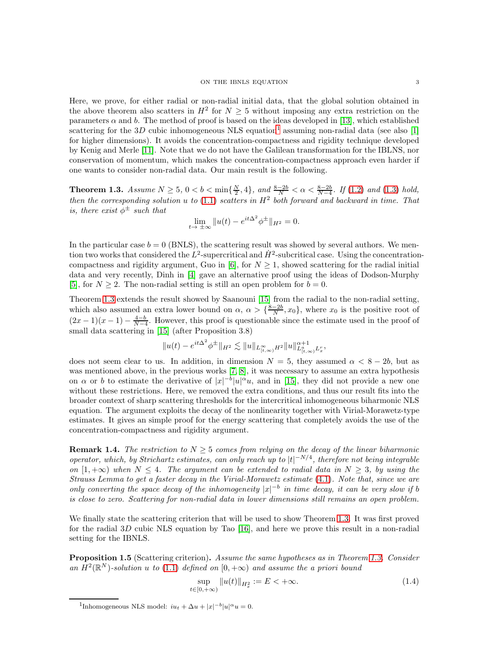Here, we prove, for either radial or non-radial initial data, that the global solution obtained in the above theorem also scatters in  $H^2$  for  $N \geq 5$  without imposing any extra restriction on the parameters  $\alpha$  and b. The method of proof is based on the ideas developed in [\[13\]](#page-12-7), which established scattering for the 3D cubic inhomogeneous NLS equation<sup>[1](#page-2-0)</sup> assuming non-radial data (see also [\[1\]](#page-12-8) for higher dimensions). It avoids the concentration-compactness and rigidity technique developed by Kenig and Merle [\[11\]](#page-12-9). Note that we do not have the Galilean transformation for the IBLNS, nor conservation of momentum, which makes the concentration-compactness approach even harder if one wants to consider non-radial data. Our main result is the following.

<span id="page-2-1"></span>**Theorem 1.3.** Assume  $N \ge 5$ ,  $0 < b < \min\{\frac{N}{2}, 4\}$ , and  $\frac{8-2b}{N} < \alpha < \frac{8-2b}{N-4}$ . If [\(1.2\)](#page-1-0) and [\(1.3\)](#page-1-1) hold, then the corresponding solution u to  $(1.1)$  scatters in  $H<sup>2</sup>$  both forward and backward in time. That is, there exist  $\phi^{\pm}$  such that

$$
\lim_{t \to \pm \infty} \|u(t) - e^{it\Delta^2} \phi^{\pm}\|_{H^2} = 0.
$$

In the particular case  $b = 0$  (BNLS), the scattering result was showed by several authors. We mention two works that considered the  $L^2$ -supercritical and  $\dot{H}^2$ -subcritical case. Using the concentration-compactness and rigidity argument, Guo in [\[6\]](#page-12-10), for  $N \geq 1$ , showed scattering for the radial initial data and very recently, Dinh in [\[4\]](#page-12-11) gave an alternative proof using the ideas of Dodson-Murphy [\[5\]](#page-12-12), for  $N \geq 2$ . The non-radial setting is still an open problem for  $b = 0$ .

Theorem [1.3](#page-2-1) extends the result showed by Saanouni [\[15\]](#page-13-0) from the radial to the non-radial setting, which also assumed an extra lower bound on  $\alpha$ ,  $\alpha > {\frac{8-2b}{N}, x_0}$ , where  $x_0$  is the positive root of  $(2x-1)(x-1)-\frac{4-b}{N-4}$ . However, this proof is questionable since the estimate used in the proof of small data scattering in [\[15\]](#page-13-0) (after Proposition 3.8)

$$
||u(t) - e^{it\Delta^2} \phi^{\pm}||_{H^2} \lesssim ||u||_{L_{[t,\infty)}^\infty H^2} ||u||_{L_{[t,\infty)}^{\alpha+1} L_x^r}^{\alpha+1},
$$

does not seem clear to us. In addition, in dimension  $N = 5$ , they assumed  $\alpha < 8 - 2b$ , but as was mentioned above, in the previous works [\[7,](#page-12-3) [8\]](#page-12-5), it was necessary to assume an extra hypothesis on  $\alpha$  or b to estimate the derivative of  $|x|^{-b}|u|^{\alpha}u$ , and in [\[15\]](#page-13-0), they did not provide a new one without these restrictions. Here, we removed the extra conditions, and thus our result fits into the broader context of sharp scattering thresholds for the intercritical inhomogeneous biharmonic NLS equation. The argument exploits the decay of the nonlinearity together with Virial-Morawetz-type estimates. It gives an simple proof for the energy scattering that completely avoids the use of the concentration-compactness and rigidity argument.

**Remark 1.4.** The restriction to  $N > 5$  comes from relying on the decay of the linear biharmonic operator, which, by Strichartz estimates, can only reach up to  $|t|^{-N/4}$ , therefore not being integrable on  $[1, +\infty)$  when  $N \leq 4$ . The argument can be extended to radial data in  $N \geq 3$ , by using the Strauss Lemma to get a faster decay in the Virial-Morawetz estimate [\(4.1\)](#page-10-0). Note that, since we are only converting the space decay of the inhomogeneity  $|x|^{-b}$  in time decay, it can be very slow if b is close to zero. Scattering for non-radial data in lower dimensions still remains an open problem.

We finally state the scattering criterion that will be used to show Theorem [1.3.](#page-2-1) It was first proved for the radial 3D cubic NLS equation by Tao [\[16\]](#page-13-1), and here we prove this result in a non-radial setting for the IBNLS.

<span id="page-2-2"></span>Proposition 1.5 (Scattering criterion). Assume the same hypotheses as in Theorem [1.3.](#page-2-1) Consider an  $H^2(\mathbb{R}^N)$ -solution u to [\(1.1\)](#page-0-0) defined on  $[0, +\infty)$  and assume the a priori bound

<span id="page-2-3"></span>
$$
\sup_{t \in [0, +\infty)} \|u(t)\|_{H_x^2} := E < +\infty.
$$
\n(1.4)

<span id="page-2-0"></span><sup>&</sup>lt;sup>1</sup>Inhomogeneous NLS model:  $iu_t + \Delta u + |x|^{-b}|u|^\alpha u = 0$ .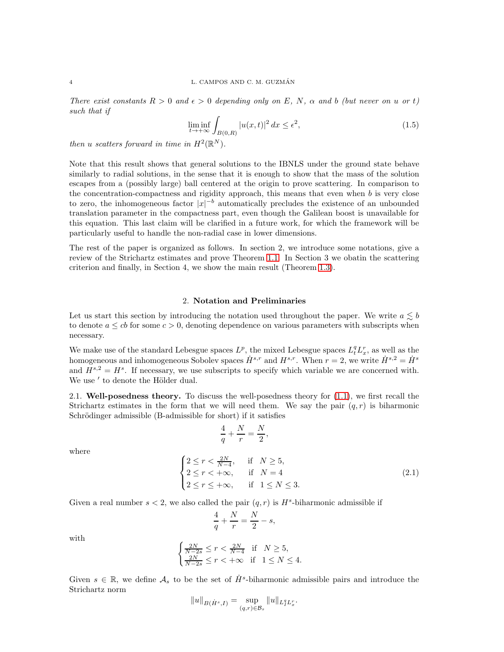There exist constants  $R > 0$  and  $\epsilon > 0$  depending only on E, N,  $\alpha$  and b (but never on u or t) such that if

<span id="page-3-1"></span>
$$
\liminf_{t \to +\infty} \int_{B(0,R)} |u(x,t)|^2 dx \le \epsilon^2,
$$
\n(1.5)

then u scatters forward in time in  $H^2(\mathbb{R}^N)$ .

Note that this result shows that general solutions to the IBNLS under the ground state behave similarly to radial solutions, in the sense that it is enough to show that the mass of the solution escapes from a (possibly large) ball centered at the origin to prove scattering. In comparison to the concentration-compactness and rigidity approach, this means that even when  $b$  is very close to zero, the inhomogeneous factor  $|x|^{-b}$  automatically precludes the existence of an unbounded translation parameter in the compactness part, even though the Galilean boost is unavailable for this equation. This last claim will be clarified in a future work, for which the framework will be particularly useful to handle the non-radial case in lower dimensions.

The rest of the paper is organized as follows. In section 2, we introduce some notations, give a review of the Strichartz estimates and prove Theorem [1.1.](#page-1-2) In Section 3 we obatin the scattering criterion and finally, in Section 4, we show the main result (Theorem [1.3\)](#page-2-1).

### 2. Notation and Preliminaries

Let us start this section by introducing the notation used throughout the paper. We write  $a \leq b$ to denote  $a \leq cb$  for some  $c > 0$ , denoting dependence on various parameters with subscripts when necessary.

We make use of the standard Lebesgue spaces  $L^p$ , the mixed Lebesgue spaces  $L_t^q L_x^r$ , as well as the homogeneous and inhomogeneous Sobolev spaces  $\dot{H}^{s,r}$  and  $H^{s,r}$ . When  $r = 2$ , we write  $\dot{H}^{s,2} = \dot{H}^s$ and  $H^{s,2} = H^s$ . If necessary, we use subscripts to specify which variable we are concerned with. We use ' to denote the Hölder dual.

2.1. Well-posedness theory. To discuss the well-posedness theory for [\(1.1\)](#page-0-0), we first recall the Strichartz estimates in the form that we will need them. We say the pair  $(q, r)$  is biharmonic Schrödinger admissible (B-admissible for short) if it satisfies

> <span id="page-3-0"></span> $\frac{N}{r} = \frac{N}{2}$  $\frac{1}{2}$ ,

where

$$
\begin{cases} 2 \le r < \frac{2N}{N-4}, & \text{if } N \ge 5, \\ 2 \le r < +\infty, \quad \text{if } N = 4 \\ 2 \le r \le +\infty, & \text{if } 1 \le N \le 3. \end{cases} \tag{2.1}
$$

Given a real number  $s < 2$ , we also called the pair  $(q, r)$  is  $H<sup>s</sup>$ -biharmonic admissible if

4  $\frac{4}{q}+\frac{N}{r}$ 

$$
\frac{4}{q} + \frac{N}{r} = \frac{N}{2} - s,
$$

with

$$
\begin{cases} \frac{2N}{N-2s}\leq r<\frac{2N}{N-4}\quad \text{if}\quad N\geq 5,\\ \frac{2N}{N-2s}\leq r<+\infty\quad \text{if}\quad 1\leq N\leq 4. \end{cases}
$$

Given  $s \in \mathbb{R}$ , we define  $\mathcal{A}_s$  to be the set of  $\dot{H}^s$ -biharmonic admissible pairs and introduce the Strichartz norm

$$
||u||_{B(\dot{H}^s,I)} = \sup_{(q,r)\in\mathcal{B}_s} ||u||_{L_I^q L_x^r}.
$$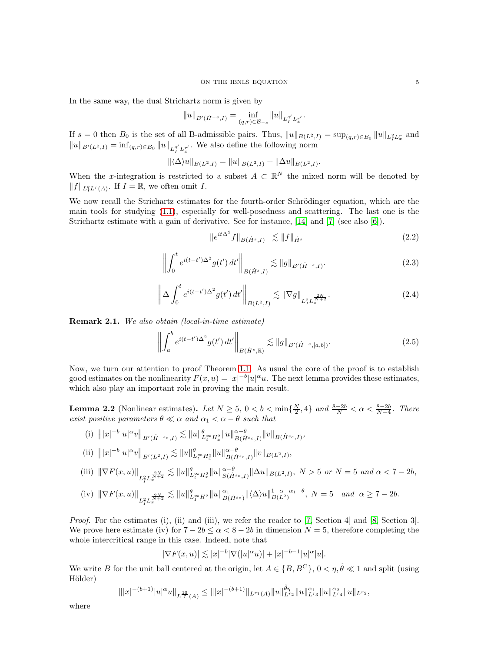In the same way, the dual Strichartz norm is given by

$$
||u||_{B'(\dot{H}^{-s},I)} = \inf_{(q,r)\in\mathcal{B}_{-s}} ||u||_{L_I^{q'}L_x^{r'}}.
$$

If  $s = 0$  then  $B_0$  is the set of all B-admissible pairs. Thus,  $||u||_{B(L^2,I)} = \sup_{(q,r) \in B_0} ||u||_{L_I^q L_x^r}$  and  $||u||_{B'(L^2,I)} = \inf_{(q,r)\in B_0} ||u||_{L_I^{q'}L_x^{r'}}$ . We also define the following norm

$$
\|\langle \Delta \rangle u\|_{B(L^2, I)} = \|u\|_{B(L^2, I)} + \|\Delta u\|_{B(L^2, I)}.
$$

When the x-integration is restricted to a subset  $A \subset \mathbb{R}^N$  the mixed norm will be denoted by  $||f||_{L_I^qL^r(A)}$ . If  $I = \mathbb{R}$ , we often omit I.

We now recall the Strichartz estimates for the fourth-order Schrödinger equation, which are the main tools for studying [\(1.1\)](#page-0-0), especially for well-posedness and scattering. The last one is the Strichartz estimate with a gain of derivative. See for instance, [\[14\]](#page-13-2) and [\[7\]](#page-12-3) (see also [\[6\]](#page-12-10)).

<span id="page-4-2"></span><span id="page-4-1"></span>
$$
\|e^{it\Delta^2}f\|_{B(\dot{H}^s,I)} \lesssim \|f\|_{\dot{H}^s} \tag{2.2}
$$

$$
\left\| \int_0^t e^{i(t-t')\Delta^2} g(t') dt' \right\|_{B(\dot{H}^s, I)} \lesssim \|g\|_{B'(\dot{H}^{-s}, I)}.
$$
\n(2.3)

$$
\left\| \Delta \int_0^t e^{i(t - t')\Delta^2} g(t') dt' \right\|_{B(L^2, I)} \lesssim \|\nabla g\|_{L^2_I L^{\frac{2N}{N+2}}}.
$$
\n(2.4)

Remark 2.1. We also obtain (local-in-time estimate)

$$
\left\| \int_{a}^{b} e^{i(t - t')\Delta^{2}} g(t') dt' \right\|_{B(\dot{H}^{s}, \mathbb{R})} \lesssim \|g\|_{B'(\dot{H}^{-s}, [a, b])}.
$$
 (2.5)

Now, we turn our attention to proof Theorem [1.1.](#page-1-2) As usual the core of the proof is to establish good estimates on the nonlinearity  $F(x, u) = |x|^{-b} |u|^{\alpha} u$ . The next lemma provides these estimates, which also play an important role in proving the main result.

<span id="page-4-0"></span>**Lemma 2.2** (Nonlinear estimates). Let  $N \ge 5$ ,  $0 < b < \min\{\frac{N}{2}, 4\}$  and  $\frac{8-2b}{N} < \alpha < \frac{8-2b}{N-4}$ . There exist positive parameters  $\theta \ll \alpha$  and  $\alpha_1 < \alpha - \theta$  such that

(i) 
$$
|||x|^{-b}|u|^{\alpha}v||_{B'(\dot{H}^{-s_c},I)} \lesssim ||u||_{L_t^{\infty}H_x^2}^{\theta}||u||_{B(\dot{H}^{s_c},I)}^{\alpha-\theta}||v||_{B(\dot{H}^{s_c},I)},
$$

(ii) 
$$
|||x|^{-b}|u|^{\alpha}v||_{B'(L^2,I)} \lesssim ||u||_{L_t^{\infty}H_x^2}^{\theta} ||u||_{B(\dot{H}^{s_c},I)}^{\alpha-\theta} ||v||_{B(L^2,I)},
$$

(iii) 
$$
\|\nabla F(x, u)\|_{L_{I}^{2}L_{x}^{\frac{2N}{N+2}}}\n\lesssim \|u\|_{L_{t}^{\infty}H_{x}^{2}}^{\theta}\|u\|_{S(\dot{H}^{s_{c}},I)}^{\alpha-\theta}\|\Delta u\|_{B(L^{2},I)},\ N>5 \text{ or } N=5 \text{ and } \alpha<7-2b,
$$

$$
(iv) \|\nabla F(x,u)\|_{L_{IL}^{2}L_x^{\frac{2N}{N+2}}} \lesssim \|u\|_{L_T^{\infty}H^2}^{\theta} \|u\|_{B(\dot{H}^{s_c})}^{\alpha_1} \|\langle \Delta \rangle u\|_{B(L^2)}^{1+\alpha-\alpha_1-\theta}, \ N=5 \quad and \ \alpha \ge 7-2b.
$$

Proof. For the estimates (i), (ii) and (iii), we refer the reader to [\[7,](#page-12-3) Section 4] and [\[8,](#page-12-5) Section 3]. We prove here estimate (iv) for  $7 - 2b \le \alpha < 8 - 2b$  in dimension  $N = 5$ , therefore completing the whole intercritical range in this case. Indeed, note that

$$
|\nabla F(x, u)| \lesssim |x|^{-b} |\nabla (|u|^\alpha u)| + |x|^{-b-1} |u|^\alpha |u|.
$$

We write B for the unit ball centered at the origin, let  $A \in \{B, B^C\}$ ,  $0 < \eta, \tilde{\theta} \ll 1$  and split (using Hölder)

$$
\| |x|^{-(b+1)} |u|^\alpha u \|_{L^{\frac{10}{7}}(A)} \le \| |x|^{-(b+1)} \|_{L^{r_1}(A)} \|u\|_{L^{r_2}}^{\tilde{\theta}\eta} \|u\|_{L^{r_3}}^{\alpha_1} \|u\|_{L^{r_4}}^{\alpha_2} \|u\|_{L^{r_5}}^{\alpha_3},
$$

where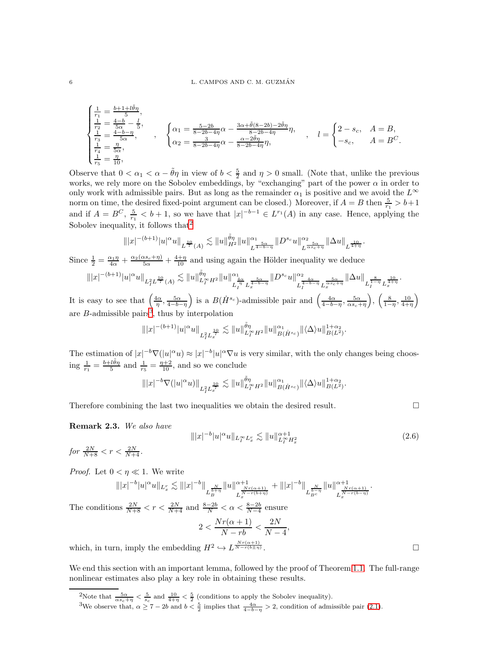$$
\begin{cases} \frac{1}{r_1} = \frac{b+1+l\tilde{\theta}\eta}{5}, \\ \frac{1}{r_2} = \frac{4-b}{5\alpha} - \frac{l}{5}, \\ \frac{1}{r_3} = \frac{4-b-\eta}{5\alpha}, \\ \frac{1}{r_4} = \frac{\eta}{5\alpha}, \\ \frac{1}{r_5} = \frac{\eta}{10}, \end{cases}, \quad \begin{cases} \alpha_1 = \frac{5-2b}{8-2b-4\eta}\alpha - \frac{3\alpha+\tilde{\theta}(8-2b)-2\tilde{\theta}\eta}{8-2b-4\eta}\eta, \\ \alpha_2 = \frac{3}{8-2b-4\eta}\alpha - \frac{\alpha-2\tilde{\theta}\eta}{8-2b-4\eta}\eta, \\ \alpha_3 = \frac{\alpha-2\tilde{\theta}\eta}{8-2b-4\eta}\eta, \end{cases}, \quad l = \begin{cases} 2-s_c, \quad A=B, \\ -s_c, \quad A=B^C. \end{cases}
$$

Observe that  $0 < \alpha_1 < \alpha - \tilde{\theta}\eta$  in view of  $b < \frac{5}{2}$  and  $\eta > 0$  small. (Note that, unlike the previous works, we rely more on the Sobolev embeddings, by "exchanging" part of the power  $\alpha$  in order to only work with admissible pairs. But as long as the remainder  $\alpha_1$  is positive and we avoid the  $L^{\infty}$ norm on time, the desired fixed-point argument can be closed.) Moreover, if  $A = B$  then  $\frac{5}{r_1} > b+1$ and if  $A = B^C$ ,  $\frac{5}{r_1} < b + 1$ , so we have that  $|x|^{-b-1} \in L^{r_1}(A)$  in any case. Hence, applying the Sobolev inequality, it follows that<sup>[2](#page-5-0)</sup>

$$
\| |x|^{-(b+1)} |u|^\alpha u\|_{L^{\frac{10}{7}}(A)} \lesssim \| u\|_{H^2}^{\tilde{\theta}\eta} \|u\|_{L^{\frac{5\alpha}{4-b-\eta}}}^{\alpha_1} \|D^{s_c}u\|_{L^{\frac{5\alpha}{\alpha s_c+\eta}}}^{\alpha_2} \|\Delta u\|_{L^{\frac{10}{4+\eta}}}.
$$

Since  $\frac{1}{2} = \frac{\alpha_1 \eta}{4\alpha} + \frac{\alpha_2(\alpha s_c + \eta)}{5\alpha} + \frac{4+\eta}{10}$  and using again the Hölder inequality we deduce

$$
\||x|^{-(b+1)}|u|^\alpha u\|_{L_I^2L^{\frac{10}{7}}(A)} \lesssim \|u\|_{L_I^\infty H^2}^{\tilde{\theta}\eta} \|u\|_{L_I^{\frac{4\alpha}{7}} L^{\frac{5\alpha}{4-b-\eta}}_x}^{\alpha_{\frac{5\alpha}{3-\alpha}}}\|D^{s_c}u\|_{L_I^{\frac{4\alpha}{4-b-\eta}} L^{\frac{5\alpha}{\alpha s_c+\eta}}_x}^{\alpha_{\frac{5\alpha}{3-c+\eta}}}\|\Delta u\|_{L_I^{\frac{8}{1-\eta}} L^{\frac{10}{4+\eta}}_x}.
$$

It is easy to see that  $\left(\frac{4\alpha}{\eta}, \frac{5\alpha}{4-b-\eta}\right)$ ) is a  $B(\dot{H}^{s_c})$ -admissible pair and  $\left(\frac{4\alpha}{4-b-\eta}, \frac{5\alpha}{\alpha s_c+\eta}\right)$ ),  $\left(\frac{8}{1-\eta}, \frac{10}{4+\eta}\right)$  $\overline{ }$ are  $B$ -admissible pairs<sup>[3](#page-5-1)</sup>, thus by interpolation

$$
\| |x|^{-(b+1)} |u|^\alpha u \|_{L_I^2 L_x^{\frac{10}{7}}} \lesssim \| u \|_{L_I^\infty H^2}^{\tilde{\theta} \eta} \| u \|_{B(\dot{H}^{s_c})}^{\alpha_1} \| \langle \Delta \rangle u \|_{B(L^2)}^{1+\alpha_2}.
$$

The estimation of  $|x|^{-b}\nabla(|u|^\alpha u) \approx |x|^{-b}|u|^\alpha \nabla u$  is very similar, with the only changes being choosing  $\frac{1}{r_1} = \frac{b+l\tilde{\theta}\eta}{5}$  and  $\frac{1}{r_5} = \frac{\eta+2}{10}$ , and so we conclude

$$
\| |x|^{-b} \nabla (|u|^\alpha u) \|_{L_I^2 L_x^{\frac{10}{7}}} \lesssim \| u \|_{L_I^\infty H^2}^{\tilde{\theta}\eta} \| u \|_{B(\dot{H}^{s_c})}^{\alpha_1} \| \langle \Delta \rangle u \|_{B(L^2)}^{1+\alpha_2}.
$$

Therefore combining the last two inequalities we obtain the desired result.  $\Box$ 

<span id="page-5-2"></span>

# Remark 2.3. We also have

$$
\| |x|^{-b} |u|^\alpha u \|_{L_I^\infty L_x^r} \lesssim \| u \|_{L_I^\infty H_x^2}^{\alpha + 1} \tag{2.6}
$$

for  $\frac{2N}{N+8} < r < \frac{2N}{N+4}$ .

*Proof.* Let  $0 < \eta \ll 1$ . We write

$$
|||x|^{-b}|u|^{\alpha}u||_{L_x^r} \lesssim |||x|^{-b}||_{L_y^{\frac{N}{b+\eta}}}||u||_{L_x^{\frac{N-(\alpha+1)}{N-r(b+\eta)}}}^{\alpha+1} + |||x|^{-b}||_{L_y^{\frac{N}{b-\eta}}}||u||_{L_x^{\frac{N-r(\alpha+1)}{N-r(b-\eta)}}}^{\alpha+1}.
$$
  
The conditions  $\frac{2N}{N+8} < r < \frac{2N}{N+4}$  and  $\frac{8-2b}{N} < \alpha < \frac{8-2b}{N-4}$  ensure  

$$
2 < \frac{Nr(\alpha+1)}{N-rb} < \frac{2N}{N-4},
$$
  
which, in turn, imply the embedding  $H^2 \hookrightarrow L^{\frac{Nr(\alpha+1)}{N-r(b+\eta)}}$ .

which, in turn, imply the embedding  $H^2 \hookrightarrow L^{\frac{1}{N-r(b\pm \eta)}}$ 

We end this section with an important lemma, followed by the proof of Theorem [1.1.](#page-1-2) The full-range nonlinear estimates also play a key role in obtaining these results.

<sup>&</sup>lt;sup>2</sup>Note that  $\frac{5\alpha}{\alpha s_c + \eta} < \frac{5}{s_c}$  and  $\frac{10}{4+\eta} < \frac{5}{2}$  (conditions to apply the Sobolev inequality).

<span id="page-5-1"></span><span id="page-5-0"></span><sup>&</sup>lt;sup>3</sup>We observe that,  $\alpha \ge 7 - 2b$  and  $b < \frac{5}{2}$  implies that  $\frac{4\alpha}{4-b-\eta} > 2$ , condition of admissible pair [\(2.1\)](#page-3-0).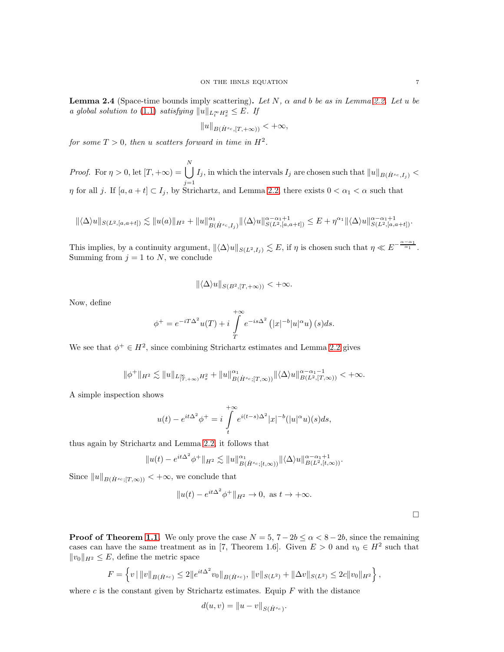<span id="page-6-0"></span>**Lemma 2.4** (Space-time bounds imply scattering). Let N,  $\alpha$  and b be as in Lemma [2.2.](#page-4-0) Let u be a global solution to [\(1.1\)](#page-0-0) satisfying  $||u||_{L_t^{\infty}H_x^2} \leq E$ . If

$$
||u||_{B(\dot{H}^{s_c}, [T, +\infty))} < +\infty,
$$

for some  $T > 0$ , then u scatters forward in time in  $H^2$ .

*Proof.* For  $\eta > 0$ , let  $[T, +\infty) = \begin{bmatrix} N \\ \end{bmatrix}$  $j=1$  $I_j$ , in which the intervals  $I_j$  are chosen such that  $||u||_{B(\dot{H}^{s_c},I_j)} <$  $\eta$  for all j. If  $[a, a + t] \subset I_j$ , by Strichartz, and Lemma [2.2,](#page-4-0) there exists  $0 < \alpha_1 < \alpha$  such that

$$
\|\langle\Delta\rangle u\|_{S(L^2,[a,a+t])} \lesssim \|u(a)\|_{H^2} + \|u\|_{B(\dot{H}^{s_c},I_j)}^{\alpha_1}\|\langle\Delta\rangle u\|_{S(L^2,[a,a+t])}^{\alpha-\alpha_1+1} \leq E + \eta^{\alpha_1}\|\langle\Delta\rangle u\|_{S(L^2,[a,a+t])}^{\alpha-\alpha_1+1}.
$$

This implies, by a continuity argument,  $\|\langle \Delta \rangle u\|_{S(L^2, I_j)} \lesssim E$ , if  $\eta$  is chosen such that  $\eta \ll E^{-\frac{\alpha - \alpha_1}{\alpha_1}}$ . Summing from  $j = 1$  to N, we conclude

$$
\|\langle \Delta \rangle u\|_{S(B^2, [T, +\infty))} < +\infty.
$$

Now, define

$$
\phi^+ = e^{-iT\Delta^2}u(T) + i \int_T^{+\infty} e^{-is\Delta^2} (|x|^{-b}|u|^\alpha u) (s) ds.
$$

We see that  $\phi^+ \in H^2$ , since combining Strichartz estimates and Lemma [2.2](#page-4-0) gives

$$
\|\phi^+\|_{H^2} \lesssim \|u\|_{L^{\infty}_{[T,+\infty)} H^2_x} + \|u\|^{\alpha_1}_{B(\dot{H}^{s_c};[T,\infty))} \|\langle \Delta \rangle u\|^{\alpha-\alpha_1-1}_{B(L^2,[T,\infty))} < +\infty.
$$

A simple inspection shows

$$
u(t) - e^{it\Delta^2} \phi^+ = i \int\limits_t^{+\infty} e^{i(t-s)\Delta^2} |x|^{-b} (|u|^\alpha u)(s) ds,
$$

thus again by Strichartz and Lemma [2.2,](#page-4-0) it follows that

$$
||u(t) - e^{it\Delta^2} \phi^+||_{H^2} \lesssim ||u||_{B(\dot{H}^{s_c};[t,\infty))}^{\alpha_1} ||\langle \Delta \rangle u||_{B(L^2,[t,\infty))}^{\alpha - \alpha_1 + 1}.
$$

Since  $||u||_{B(\dot{H}^{s_c};[T,\infty))} < +\infty$ , we conclude that

$$
||u(t) - e^{it\Delta^2} \phi^+||_{H^2} \to 0, \text{ as } t \to +\infty.
$$

 $\Box$ 

**Proof of Theorem [1.1.](#page-1-2)** We only prove the case  $N = 5$ ,  $7 - 2b \le \alpha < 8 - 2b$ , since the remaining cases can have the same treatment as in [7, Theorem 1.6]. Given  $E > 0$  and  $v_0 \in H^2$  such that  $||v_0||_{H^2} \leq E$ , define the metric space

$$
F = \left\{ v \,|\, \|v\|_{B(\dot{H}^{s_c})} \le 2 \|e^{it\Delta^2} v_0\|_{B(\dot{H}^{s_c})},\, \|v\|_{S(L^2)} + \|\Delta v\|_{S(L^2)} \le 2c\|v_0\|_{H^2} \right\},\,
$$

where c is the constant given by Strichartz estimates. Equip  $F$  with the distance

$$
d(u, v) = ||u - v||_{S(\dot{H}^{s_c})}.
$$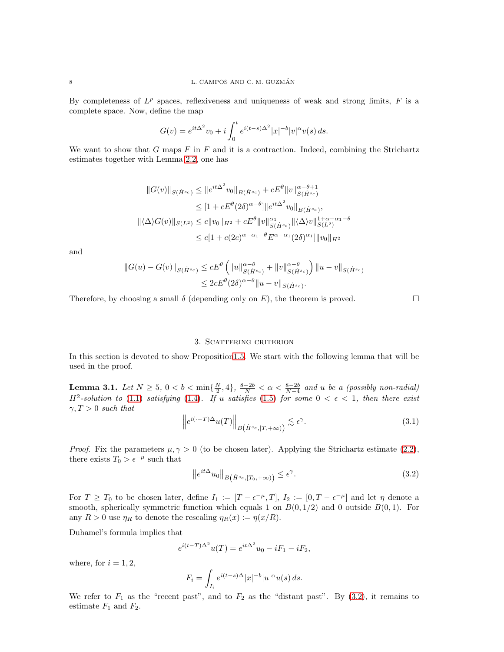By completeness of  $L^p$  spaces, reflexiveness and uniqueness of weak and strong limits,  $F$  is a complete space. Now, define the map

$$
G(v) = e^{it\Delta^2}v_0 + i \int_0^t e^{i(t-s)\Delta^2} |x|^{-b} |v|^\alpha v(s) ds.
$$

We want to show that G maps  $F$  in  $F$  and it is a contraction. Indeed, combining the Strichartz estimates together with Lemma [2.2,](#page-4-0) one has

$$
||G(v)||_{S(\dot{H}^{s_c})} \le ||e^{it\Delta^2}v_0||_{B(\dot{H}^{s_c})} + cE^{\theta}||v||_{S(\dot{H}^{s_c})}^{\alpha-\theta+1}
$$
  
\n
$$
\le [1 + cE^{\theta}(2\delta)^{\alpha-\theta}]||e^{it\Delta^2}v_0||_{B(\dot{H}^{s_c})},
$$
  
\n
$$
||\langle\Delta\rangle G(v)||_{S(L^2)} \le c||v_0||_{H^2} + cE^{\theta}||v||_{S(\dot{H}^{s_c})}^{\alpha_1}||\langle\Delta\rangle v||_{S(L^2)}^{1+\alpha-\alpha_1-\theta}
$$
  
\n
$$
\le c[1 + c(2c)^{\alpha-\alpha_1-\theta}E^{\alpha-\alpha_1}(2\delta)^{\alpha_1}]||v_0||_{H^2}
$$

and

$$
||G(u) - G(v)||_{S(\dot{H}^{s_c})} \le cE^{\theta} \left( ||u||_{S(\dot{H}^{s_c})}^{\alpha - \theta} + ||v||_{S(\dot{H}^{s_c})}^{\alpha - \theta} \right) ||u - v||_{S(\dot{H}^{s_c})}
$$
  

$$
\le 2cE^{\theta} (2\delta)^{\alpha - \theta} ||u - v||_{S(\dot{H}^{s_c})}.
$$

Therefore, by choosing a small  $\delta$  (depending only on E), the theorem is proved.

<span id="page-7-1"></span><span id="page-7-0"></span>

### 3. SCATTERING CRITERION

In this section is devoted to show Propositio[n1.5.](#page-2-2) We start with the following lemma that will be used in the proof.

<span id="page-7-2"></span>**Lemma 3.1.** Let  $N \ge 5$ ,  $0 < b < \min\{\frac{N}{2}, 4\}$ ,  $\frac{8-2b}{N} < \alpha < \frac{8-2b}{N-4}$  and u be a (possibly non-radial)  $H^2$ -solution to [\(1.1\)](#page-0-0) satisfying [\(1.4\)](#page-2-3). If u satisfies [\(1.5\)](#page-3-1) for some  $0 < \epsilon < 1$ , then there exist  $\gamma, T > 0$  such that

$$
\left\|e^{i(\cdot-T)\Delta}u(T)\right\|_{B(\dot{H}^{s_c}, [T,+\infty))} \lesssim \epsilon^{\gamma}.
$$
\n(3.1)

*Proof.* Fix the parameters  $\mu, \gamma > 0$  (to be chosen later). Applying the Strichartz estimate [\(2.2\)](#page-4-1), there exists  $T_0 > \epsilon^{-\mu}$  such that

$$
\left\|e^{it\Delta}u_0\right\|_{B\left(\dot{H}^{s_c}, [T_0, +\infty)\right)} \le \epsilon^\gamma. \tag{3.2}
$$

For  $T \geq T_0$  to be chosen later, define  $I_1 := [T - \epsilon^{-\mu}, T]$ ,  $I_2 := [0, T - \epsilon^{-\mu}]$  and let  $\eta$  denote a smooth, spherically symmetric function which equals 1 on  $B(0, 1/2)$  and 0 outside  $B(0, 1)$ . For any  $R > 0$  use  $\eta_R$  to denote the rescaling  $\eta_R(x) := \eta(x/R)$ .

Duhamel's formula implies that

$$
e^{i(t-T)\Delta^2}u(T) = e^{it\Delta^2}u_0 - iF_1 - iF_2,
$$

where, for  $i = 1, 2$ ,

$$
F_i=\int_{I_i}e^{i(t-s)\Delta}|x|^{-b}|u|^\alpha u(s)\,ds.
$$

We refer to  $F_1$  as the "recent past", and to  $F_2$  as the "distant past". By [\(3.2\)](#page-7-0), it remains to estimate  $F_1$  and  $F_2$ .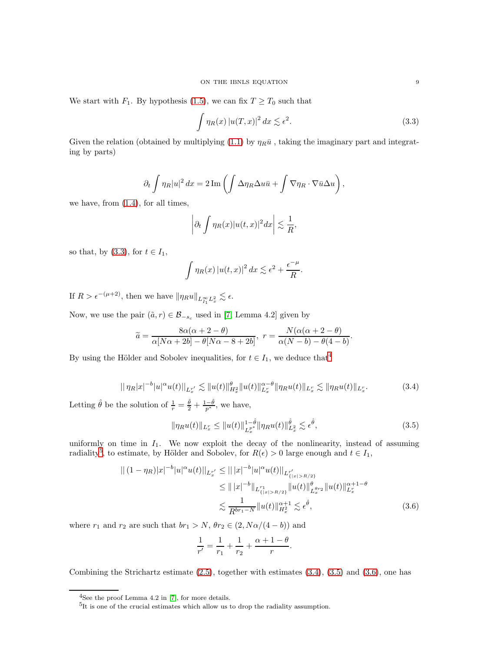We start with  $F_1$ . By hypothesis [\(1.5\)](#page-3-1), we can fix  $T \geq T_0$  such that

<span id="page-8-0"></span>
$$
\int \eta_R(x) |u(T,x)|^2 dx \lesssim \epsilon^2.
$$
\n(3.3)

Given the relation (obtained by multiplying [\(1.1\)](#page-0-0) by  $\eta_R\bar{u}$ , taking the imaginary part and integrating by parts)

$$
\partial_t \int \eta_R |u|^2 dx = 2 \operatorname{Im} \left( \int \Delta \eta_R \Delta u \bar{u} + \int \nabla \eta_R \cdot \nabla \bar{u} \Delta u \right),
$$

we have, from [\(1.4\)](#page-2-3), for all times,

$$
\left|\partial_t \int \eta_R(x) |u(t,x)|^2 dx\right| \lesssim \frac{1}{R},
$$

so that, by [\(3.3\)](#page-8-0), for  $t \in I_1$ ,

$$
\int \eta_R(x) |u(t,x)|^2 dx \lesssim \epsilon^2 + \frac{\epsilon^{-\mu}}{R}.
$$

If  $R > \epsilon^{-(\mu+2)}$ , then we have  $\|\eta_R u\|_{L_{I_1}^{\infty} L_x^2} \lesssim \epsilon$ .

Now, we use the pair  $(\tilde{a}, r) \in \mathcal{B}_{-s_c}$  used in [\[7,](#page-12-3) Lemma 4.2] given by

$$
\widetilde{a} = \frac{8\alpha(\alpha+2-\theta)}{\alpha[N\alpha+2b]-\theta[N\alpha-8+2b]}, \ r = \frac{N(\alpha(\alpha+2-\theta))}{\alpha(N-b)-\theta(4-b)}.
$$

By using the Hölder and Sobolev inequalities, for  $t \in I_1$ , we deduce that<sup>[4](#page-8-1)</sup>

$$
\|\eta_R|x|^{-b}|u|^\alpha u(t)\|_{L_x^{r'}} \lesssim \|u(t)\|_{H_x^2}^{\theta}\|u(t)\|_{L_x^{r}}^{\alpha-\theta}\|\eta_R u(t)\|_{L_x^{r}} \lesssim \|\eta_R u(t)\|_{L_x^{r}}.\tag{3.4}
$$

Letting  $\hat{\theta}$  be the solution of  $\frac{1}{r} = \frac{\hat{\theta}}{2} + \frac{1-\hat{\theta}}{p^*}$ , we have,

<span id="page-8-4"></span><span id="page-8-3"></span>
$$
\|\eta_R u(t)\|_{L_x^r} \le \|u(t)\|_{L_x^{p^*}}^{1-\hat{\theta}} \|\eta_R u(t)\|_{L_x^2}^{\hat{\theta}} \lesssim \epsilon^{\hat{\theta}},\tag{3.5}
$$

uniformly on time in  $I_1$ . We now exploit the decay of the nonlinearity, instead of assuming radiality<sup>[5](#page-8-2)</sup>, to estimate, by Hölder and Sobolev, for  $R(\epsilon) > 0$  large enough and  $t \in I_1$ ,

$$
\| (1 - \eta_R) |x|^{-b} |u|^\alpha u(t) \|_{L_x^{r'}} \leq \| |x|^{-b} |u|^\alpha u(t) \|_{L_{\{|x|>R/2\}}^{r'}} \leq \| |x|^{-b} \|_{L_{\{|x|>R/2\}}^{r_1}} \| u(t) \|_{L_x^{\theta r_2}}^{\theta} \| u(t) \|_{L_x^r}^{\alpha+1-\theta} \leq \frac{1}{R^{br_1-N}} \| u(t) \|_{H_x^2}^{\alpha+1} \lesssim \epsilon^{\hat{\theta}},
$$
\n(3.6)

where  $r_1$  and  $r_2$  are such that  $br_1 > N$ ,  $\theta r_2 \in (2, N\alpha/(4-b))$  and

<span id="page-8-5"></span>
$$
\frac{1}{r'} = \frac{1}{r_1} + \frac{1}{r_2} + \frac{\alpha + 1 - \theta}{r}.
$$

Combining the Strichartz estimate [\(2.5\)](#page-4-2), together with estimates [\(3.4\)](#page-8-3), [\(3.5\)](#page-8-4) and [\(3.6\)](#page-8-5), one has

 $4$ See the proof Lemma 4.2 in [\[7\]](#page-12-3), for more details.

<span id="page-8-2"></span><span id="page-8-1"></span><sup>&</sup>lt;sup>5</sup>It is one of the crucial estimates which allow us to drop the radiality assumption.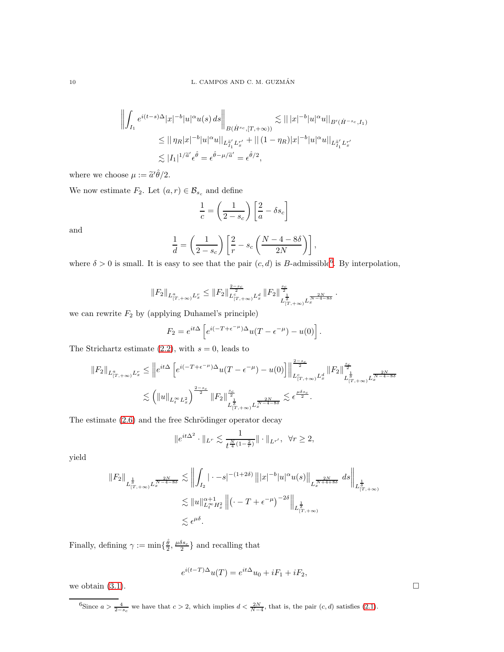$$
\left\| \int_{I_1} e^{i(t-s)\Delta} |x|^{-b} |u|^\alpha u(s) ds \right\|_{B(\dot{H}^{s_c}, [T, +\infty))} \lesssim || |x|^{-b} |u|^\alpha u ||_{B'(\dot{H}^{-s_c}, I_1)}
$$
  
\n
$$
\leq || \eta_R |x|^{-b} |u|^\alpha u ||_{L^{\tilde{q}'}_I L^{r'}_x} + || (1 - \eta_R) |x|^{-b} |u|^\alpha u ||_{L^{\tilde{q}'}_I L^{r'}_x}
$$
  
\n
$$
\lesssim |I_1|^{1/\tilde{a}'} \epsilon^{\hat{\theta}} = \epsilon^{\hat{\theta} - \mu/\tilde{a}'} = \epsilon^{\hat{\theta}/2},
$$

where we choose  $\mu := \tilde{a}'\hat{\theta}/2$ .

We now estimate  $F_2.$  Let  $(a,r)\in \mathcal{B}_{s_c}$  and define

$$
\frac{1}{c} = \left(\frac{1}{2 - s_c}\right) \left[\frac{2}{a} - \delta s_c\right]
$$

and

$$
\frac{1}{d} = \left(\frac{1}{2 - s_c}\right) \left[\frac{2}{r} - s_c \left(\frac{N - 4 - 8\delta}{2N}\right)\right],
$$

where  $\delta > 0$  is small. It is easy to see that the pair  $(c, d)$  is B-admissible<sup>[6](#page-9-0)</sup>. By interpolation,

$$
||F_2||_{L_{[T,+\infty)}^a L_x^r} \leq ||F_2||_{L_{[T,+\infty)}^c}^{\frac{2-s_c}{2}} L_x^d ||F_2||_{L_{[T,+\infty)}^{\frac{4}{3}}}^{\frac{s_c}{2}} L_x^{\frac{2N}{N-4-8\delta}}.
$$

we can rewrite  $F_2$  by (applying Duhamel's principle)

$$
F_2 = e^{it\Delta} \left[ e^{i(-T + \epsilon^{-\mu})\Delta} u(T - \epsilon^{-\mu}) - u(0) \right].
$$

The Strichartz estimate [\(2.2\)](#page-4-1), with  $s = 0$ , leads to

$$
||F_2||_{L_{[T,+\infty)}^a L_x^r} \le ||e^{it\Delta} [e^{i(-T+\epsilon^{-\mu})\Delta} u(T-\epsilon^{-\mu}) - u(0)]||_{L_{[T,+\infty)}^{\frac{2-s_c}{2}}}^{2-s_c} ||F_2||_{L_{[T,+\infty)}^{\frac{2}{3}}}^{2-s_c} ||F_2||_{L_{[T,+\infty)}^{\frac{s_c}{2}}}^{2-s_c} ||F_2||_{L_{[T,+\infty)}^{\frac{2N}{3}}}^{2-s_c} ||F_2||_{L_{[T,+\infty)}^{\frac{2N}{3}}}^{2-s_c} ||F_2||_{L_{[T,+\infty)}^{\frac{2N}{3}}}^{2-s_c} ||F_2||_{L_{[T,+\infty)}^{\frac{2N}{3}}}^{2-s_c} ||F_2||_{L_{[T,+\infty)}^{\frac{2N}{3}}}^{2-s_c} ||F_2||_{L_{[T,+\infty)}^{\frac{2N}{3}}}^{2-s_c} ||F_2||_{L_{[T,+\infty)}^{\frac{2N}{3}}}^{2-s_c} ||F_2||_{L_{[T,+\infty)}^{\frac{2N}{3}}}^{2-s_c} ||F_2||_{L_{[T,+\infty)}^{\frac{2N}{3}}}^{2-s_c} ||F_2||_{L_{[T,+\infty)}^{\frac{2N}{3}}}^{2-s_c} ||F_2||_{L_{[T,+\infty)}^{\frac{2N}{3}}}^{2-s_c} ||F_2||_{L_{[T,+\infty)}^{\frac{2N}{3}}}^{2-s_c} ||F_2||_{L_{[T,+\infty)}^{\frac{2N}{3}}}^{2-s_c} ||F_2||_{L_{[T,+\infty)}^{\frac{2N}{3}}}^{2-s_c} ||F_2||_{L_{[T,+\infty)}^{\frac{2N}{3}}}^{2-s_c} ||F_2||_{L_{[T,+\infty)}^{\frac{2N}{3}}}^{2-s_c} ||F_2||_{L_{[T,+\infty)}^{\frac{2N}{3}}}^{2-s_c} ||F_2||_{L_{[T,+\infty)}^{\frac{2N}{3}}}^{2-s_c} ||F_2||_{L_{[T,+\infty)}^{\frac{2N}{3}}}^{2-s_c} ||F_2||_{L_{[T,+\infty)}^{\frac{2N}{3}}}^{2-s_c} ||F_2||_{L_{[T,+\infty)}^{\frac{2N}{3}}}^{2-s_c} ||F_2||_{L_{[
$$

The estimate  $(2.6)$  and the free Schrödinger operator decay

$$
||e^{it\Delta^2} \cdot ||_{L^r} \lesssim \frac{1}{t^{\frac{N}{4}(1-\frac{2}{r})}} || \cdot ||_{L^{r'}}, \ \ \forall r \ge 2,
$$

yield

$$
||F_2||_{L^{\frac{1}{3}}_{[T,+\infty)}L^{\frac{2N}{N-4-8\delta}}_{x}} \lesssim \left||\int_{I_2} |\cdot -s|^{-(1+2\delta)} \, ||x|^{-b}|u|^{\alpha}u(s) \right||_{L^{\frac{2N}{N+4+8\delta}}_{x}} ds \left||_{L^{\frac{1}{3}}_{[T,+\infty)}} \right|
$$
  

$$
\lesssim ||u||_{L^{\infty}_{t}H^{2}_{x}}^{\alpha+1} ||(\cdot - T + \epsilon^{-\mu})^{-2\delta} ||_{L^{\frac{1}{3}}_{[T,+\infty)}}
$$
  

$$
\lesssim \epsilon^{\mu\delta}.
$$

Finally, defining  $\gamma := \min\{\frac{\hat{\theta}}{2}, \frac{\mu \delta s_c}{2}\}\$ and recalling that

$$
e^{i(t-T)\Delta}u(T) = e^{it\Delta}u_0 + iF_1 + iF_2,
$$

we obtain [\(3.1\)](#page-7-1).

<span id="page-9-0"></span>6Since  $a > \frac{4}{2-s_c}$  we have that  $c > 2$ , which implies  $d < \frac{2N}{N-4}$ , that is, the pair  $(c, d)$  satisfies  $(2.1)$ .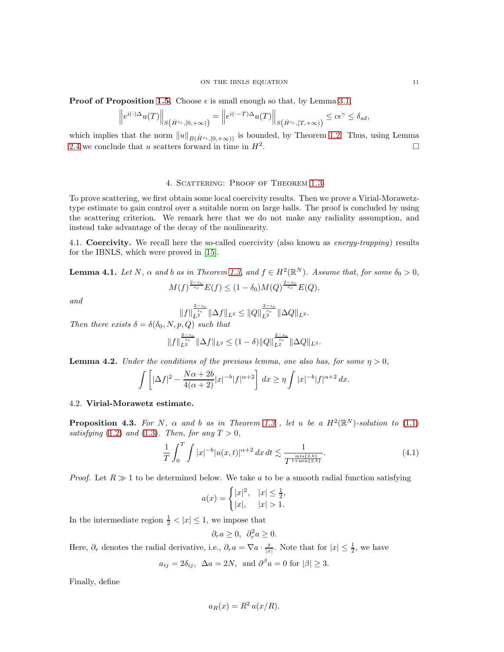**Proof of Proposition [1.5.](#page-2-2)** Choose  $\epsilon$  is small enough so that, by Lemma [3.1,](#page-7-2)

$$
\left\|e^{i(\cdot)\Delta}u(T)\right\|_{S\left(\dot{H}^{s_c},[0,+\infty)\right)}=\left\|e^{i(\cdot-T)\Delta}u(T)\right\|_{S\left(\dot{H}^{s_c},[T,+\infty)\right)}\leq c\epsilon^\gamma\leq\delta_{sd},
$$

which implies that the norm  $||u||_{B(H^{s_c}, [0,+\infty))}$  is bounded, by Theorem [1.2.](#page-1-3) Thus, using Lemma [2.4](#page-6-0) we conclude that u scatters forward in time in  $H^2$ . . В последните последните последните последните последните последните последните последните последните последн<br>В последните последните последните последните последните последните последните последните последните последнит

## 4. SCATTERING: PROOF OF THEOREM [1.3](#page-2-1)

To prove scattering, we first obtain some local coercivity results. Then we prove a Virial-Morawetztype estimate to gain control over a suitable norm on large balls. The proof is concluded by using the scattering criterion. We remark here that we do not make any radiality assumption, and instead take advantage of the decay of the nonlinearity.

4.1. Coercivity. We recall here the so-called coercivity (also known as *energy-trapping*) results for the IBNLS, which were proved in [\[15\]](#page-13-0).

**Lemma 4.1.** Let N,  $\alpha$  and b as in Theorem [1.3,](#page-2-1) and  $f \in H^2(\mathbb{R}^N)$ . Assume that, for some  $\delta_0 > 0$ ,  $2-s_c$  $2-s_c$ 

$$
M(f)^{\frac{2-8c}{s_c}}E(f) \le (1-\delta_0)M(Q)^{\frac{2-s_c}{s_c}}E(Q),
$$

and

$$
\|f\|_{L^2}^{\frac{2-s_c}{s_c}} \|\Delta f\|_{L^2} \le \|Q\|_{L^2}^{\frac{2-s_c}{s_c}} \|\Delta Q\|_{L^2}.
$$

Then there exists  $\delta=\delta(\delta_0,N,p,Q)$  such that  $||f||_{L^{2}}^{\frac{2-s_c}{s^c}} ||\Delta f||_{L^{2}} \leq (1-\delta) ||Q||_{L^{2}}^{\frac{2-s_c}{s^c}} ||\Delta Q||_{L^{2}}.$ 

<span id="page-10-1"></span>**Lemma 4.2.** Under the conditions of the previous lemma, one also has, for some  $\eta > 0$ ,

$$
\int \left[ |\Delta f|^2 - \frac{N\alpha + 2b}{4(\alpha + 2)} |x|^{-b} |f|^{\alpha + 2} \right] dx \ge \eta \int |x|^{-b} |f|^{\alpha + 2} dx.
$$

### 4.2. Virial-Morawetz estimate.

<span id="page-10-2"></span>**Proposition 4.3.** For N,  $\alpha$  and b as in Theorem [1.3](#page-2-1), let u be a  $H^2(\mathbb{R}^N)$ -solution to [\(1.1\)](#page-0-0) satisfying [\(1.2\)](#page-1-0) and [\(1.3\)](#page-1-1). Then, for any  $T > 0$ ,

$$
\frac{1}{T} \int_0^T \int |x|^{-b} |u(x,t)|^{\alpha+2} \, dx \, dt \lesssim \frac{1}{T^{\frac{\min\{2,b\}}{1+\min\{2,b\}}}}. \tag{4.1}
$$

*Proof.* Let  $R \gg 1$  to be determined below. We take a to be a smooth radial function satisfying

<span id="page-10-0"></span>
$$
a(x) = \begin{cases} |x|^2, & |x| \le \frac{1}{2}, \\ |x|, & |x| > 1. \end{cases}
$$

In the intermediate region  $\frac{1}{2} < |x| \leq 1$ , we impose that

$$
\partial_r a \ge 0, \ \partial_r^2 a \ge 0.
$$

Here,  $\partial_r$  denotes the radial derivative, i.e.,  $\partial_r a = \nabla a \cdot \frac{x}{|x|}$ . Note that for  $|x| \leq \frac{1}{2}$ , we have

$$
a_{ij} = 2\delta_{ij}
$$
,  $\Delta a = 2N$ , and  $\partial^{\beta} a = 0$  for  $|\beta| \ge 3$ .

Finally, define

$$
a_R(x) = R^2 a(x/R).
$$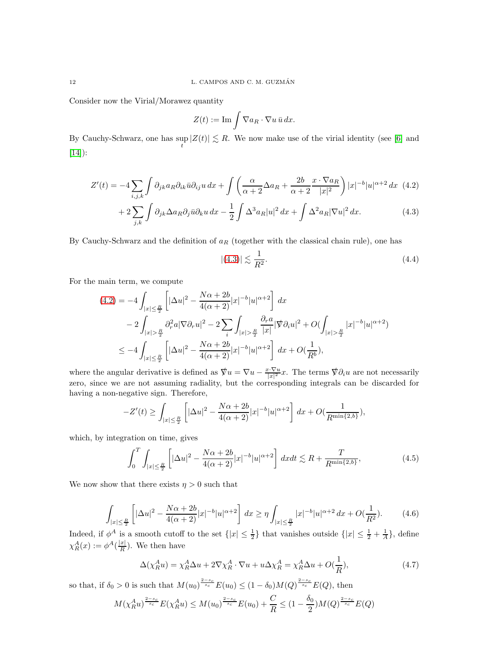Consider now the Virial/Morawez quantity

$$
Z(t) := \operatorname{Im} \int \nabla a_R \cdot \nabla u \, \bar{u} \, dx.
$$

By Cauchy-Schwarz, one has  $\sup_t |Z(t)| \lesssim R$ . We now make use of the virial identity (see [\[6\]](#page-12-10) and [\[14\]](#page-13-2)):

$$
Z'(t) = -4\sum_{i,j,k} \int \partial_{jk} a_R \partial_{ik} \bar{u} \partial_{ij} u \, dx + \int \left( \frac{\alpha}{\alpha+2} \Delta a_R + \frac{2b}{\alpha+2} \frac{x \cdot \nabla a_R}{|x|^2} \right) |x|^{-b} |u|^{\alpha+2} \, dx \tag{4.2}
$$

$$
+2\sum_{j,k}\int \partial_{jk}\Delta a_R \partial_j \bar{u}\partial_k u \,dx - \frac{1}{2}\int \Delta^3 a_R |u|^2 \,dx + \int \Delta^2 a_R |\nabla u|^2 \,dx. \tag{4.3}
$$

By Cauchy-Schwarz and the definition of  $a_R$  (together with the classical chain rule), one has

<span id="page-11-5"></span><span id="page-11-4"></span><span id="page-11-1"></span><span id="page-11-0"></span>
$$
|(4.3)| \lesssim \frac{1}{R^2}.\tag{4.4}
$$

For the main term, we compute

$$
(4.2) = -4 \int_{|x| \le \frac{R}{2}} \left[ |\Delta u|^2 - \frac{N\alpha + 2b}{4(\alpha + 2)} |x|^{-b} |u|^{\alpha + 2} \right] dx
$$
  

$$
-2 \int_{|x| > \frac{R}{2}} \partial_r^2 a |\nabla \partial_r u|^2 - 2 \sum_i \int_{|x| > \frac{R}{2}} \frac{\partial_r a}{|x|} |\nabla \partial_i u|^2 + O(\int_{|x| > \frac{R}{2}} |x|^{-b} |u|^{\alpha + 2})
$$
  

$$
\le -4 \int_{|x| \le \frac{R}{2}} \left[ |\Delta u|^2 - \frac{N\alpha + 2b}{4(\alpha + 2)} |x|^{-b} |u|^{\alpha + 2} \right] dx + O(\frac{1}{R^b}),
$$

where the angular derivative is defined as  $\vec{\nabla} u = \nabla u - \frac{x \cdot \nabla u}{|x|^2}x$ . The terms  $\nabla \partial_i u$  are not necessarily zero, since we are not assuming radiality, but the corresponding integrals can be discarded for having a non-negative sign. Therefore,

$$
-Z'(t) \ge \int_{|x| \le \frac{R}{2}} \left[ |\Delta u|^2 - \frac{N\alpha + 2b}{4(\alpha + 2)} |x|^{-b} |u|^{\alpha + 2} \right] dx + O(\frac{1}{R^{\min\{2, b\}}}),
$$

which, by integration on time, gives

$$
\int_{0}^{T} \int_{|x| \le \frac{R}{2}} \left[ |\Delta u|^2 - \frac{N\alpha + 2b}{4(\alpha + 2)} |x|^{-b} |u|^{\alpha + 2} \right] dx dt \lesssim R + \frac{T}{R^{\min\{2, b\}}},\tag{4.5}
$$

We now show that there exists  $\eta > 0$  such that

$$
\int_{|x| \le \frac{R}{2}} \left[ |\Delta u|^2 - \frac{N\alpha + 2b}{4(\alpha + 2)} |x|^{-b} |u|^{\alpha + 2} \right] dx \ge \eta \int_{|x| \le \frac{R}{2}} |x|^{-b} |u|^{\alpha + 2} dx + O(\frac{1}{R^2}).\tag{4.6}
$$

Indeed, if  $\phi^A$  is a smooth cutoff to the set  $\{|x| \leq \frac{1}{2}\}\$  that vanishes outside  $\{|x| \leq \frac{1}{2} + \frac{1}{A}\}\$ , define  $\chi^A_R(x) := \phi^A(\frac{|x|}{R})$  $\frac{x_1}{R}$ ). We then have

<span id="page-11-3"></span><span id="page-11-2"></span>
$$
\Delta(\chi_R^A u) = \chi_R^A \Delta u + 2\nabla \chi_R^A \cdot \nabla u + u \Delta \chi_R^A = \chi_R^A \Delta u + O(\frac{1}{R}),\tag{4.7}
$$

so that, if  $\delta_0 > 0$  is such that  $M(u_0)^{\frac{2-s_c}{s_c}} E(u_0) \leq (1-\delta_0) M(Q)^{\frac{2-s_c}{s_c}} E(Q)$ , then

$$
M(\chi_R^A u)^{\frac{2-s_c}{s_c}} E(\chi_R^A u) \le M(u_0)^{\frac{2-s_c}{s_c}} E(u_0) + \frac{C}{R} \le (1 - \frac{\delta_0}{2}) M(Q)^{\frac{2-s_c}{s_c}} E(Q)
$$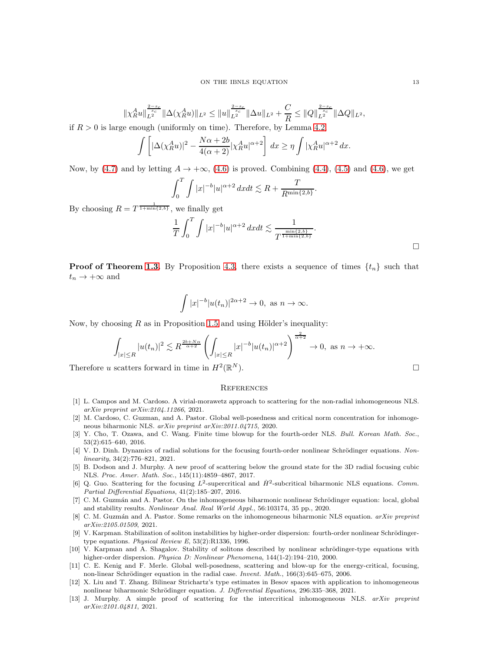$$
\|\chi^A_R u\|_{L^{2}}^{\frac{2-s_c}{s_c}} \|\Delta(\chi^A_R u)\|_{L^2} \leq \|u\|_{L^{2}}^{\frac{2-s_c}{s_c}} \|\Delta u\|_{L^2} + \frac{C}{R} \leq \|Q\|_{L^{2}}^{\frac{2-s_c}{s_c}} \|\Delta Q\|_{L^2},
$$

if  $R > 0$  is large enough (uniformly on time). Therefore, by Lemma [4.2,](#page-10-1)

$$
\int \left[ |\Delta(\chi_R^A u)|^2 - \frac{N\alpha + 2b}{4(\alpha + 2)} |\chi_R^A u|^{\alpha + 2} \right] dx \ge \eta \int |\chi_R^A u|^{\alpha + 2} dx.
$$

Now, by [\(4.7\)](#page-11-2) and by letting  $A \rightarrow +\infty$ , [\(4.6\)](#page-11-3) is proved. Combining [\(4.4\)](#page-11-4), [\(4.5\)](#page-11-5) and (4.6), we get

$$
\int_0^T \int |x|^{-b} |u|^{\alpha+2} dx dt \lesssim R + \frac{T}{R^{\min\{2,b\}}}.
$$

By choosing  $R = T^{\frac{1}{1 + \min\{2, b\}}}$ , we finally get

$$
\frac{1}{T} \int_0^T \int |x|^{-b} |u|^{\alpha+2} dx dt \lesssim \frac{1}{T^{\frac{\min\{2,b\}}{1+\min\{2,b\}}}}.
$$

**Proof of Theorem [1.3.](#page-2-1)** By Proposition [4.3,](#page-10-2) there exists a sequence of times  $\{t_n\}$  such that  $t_n \to +\infty$  and

$$
\int |x|^{-b}|u(t_n)|^{2\alpha+2} \to 0, \text{ as } n \to \infty.
$$

Now, by choosing R as in Proposition [1.5](#page-2-2) and using Hölder's inequality:

$$
\int_{|x|\leq R} |u(t_n)|^2 \lesssim R^{\frac{2b+N\alpha}{\alpha+2}} \left( \int_{|x|\leq R} |x|^{-b} |u(t_n)|^{\alpha+2} \right)^{\frac{2}{\alpha+2}} \to 0, \text{ as } n \to +\infty.
$$

Therefore u scatters forward in time in  $H^2(\mathbb{R})$  $N$ ).

#### **REFERENCES**

- <span id="page-12-8"></span>[1] L. Campos and M. Cardoso. A virial-morawetz approach to scattering for the non-radial inhomogeneous NLS. arXiv preprint arXiv:2104.11266, 2021.
- <span id="page-12-6"></span>[2] M. Cardoso, C. Guzman, and A. Pastor. Global well-posedness and critical norm concentration for inhomogeneous biharmonic NLS. arXiv preprint arXiv:2011.04715, 2020.
- <span id="page-12-2"></span>[3] Y. Cho, T. Ozawa, and C. Wang. Finite time blowup for the fourth-order NLS. Bull. Korean Math. Soc., 53(2):615–640, 2016.
- <span id="page-12-11"></span>[4] V. D. Dinh. Dynamics of radial solutions for the focusing fourth-order nonlinear Schrödinger equations. Nonlinearity, 34(2):776–821, 2021.
- <span id="page-12-12"></span>[5] B. Dodson and J. Murphy. A new proof of scattering below the ground state for the 3D radial focusing cubic NLS. Proc. Amer. Math. Soc., 145(11):4859–4867, 2017.
- <span id="page-12-10"></span>[6] Q. Guo. Scattering for the focusing  $L^2$ -supercritical and  $\dot{H}^2$ -subcritical biharmonic NLS equations. Comm. Partial Differential Equations, 41(2):185–207, 2016.
- <span id="page-12-3"></span>[7] C. M. Guzmán and A. Pastor. On the inhomogeneous biharmonic nonlinear Schrödinger equation: local, global and stability results. Nonlinear Anal. Real World Appl., 56:103174, 35 pp., 2020.
- <span id="page-12-5"></span>[8] C. M. Guzmán and A. Pastor. Some remarks on the inhomogeneous biharmonic NLS equation. arXiv preprint arXiv:2105.01509, 2021.
- <span id="page-12-0"></span>[9] V. Karpman. Stabilization of soliton instabilities by higher-order dispersion: fourth-order nonlinear Schrödingertype equations. Physical Review E, 53(2):R1336, 1996.
- <span id="page-12-1"></span>[10] V. Karpman and A. Shagalov. Stability of solitons described by nonlinear schrödinger-type equations with higher-order dispersion. Physica D: Nonlinear Phenomena, 144(1-2):194–210, 2000.
- <span id="page-12-9"></span>[11] C. E. Kenig and F. Merle. Global well-posedness, scattering and blow-up for the energy-critical, focusing, non-linear Schrödinger equation in the radial case. Invent. Math., 166(3):645–675, 2006.
- <span id="page-12-4"></span>[12] X. Liu and T. Zhang. Bilinear Strichartz's type estimates in Besov spaces with application to inhomogeneous nonlinear biharmonic Schrödinger equation. J. Differential Equations, 296:335–368, 2021.
- <span id="page-12-7"></span>[13] J. Murphy. A simple proof of scattering for the intercritical inhomogeneous NLS. arXiv preprint arXiv:2101.04811, 2021.